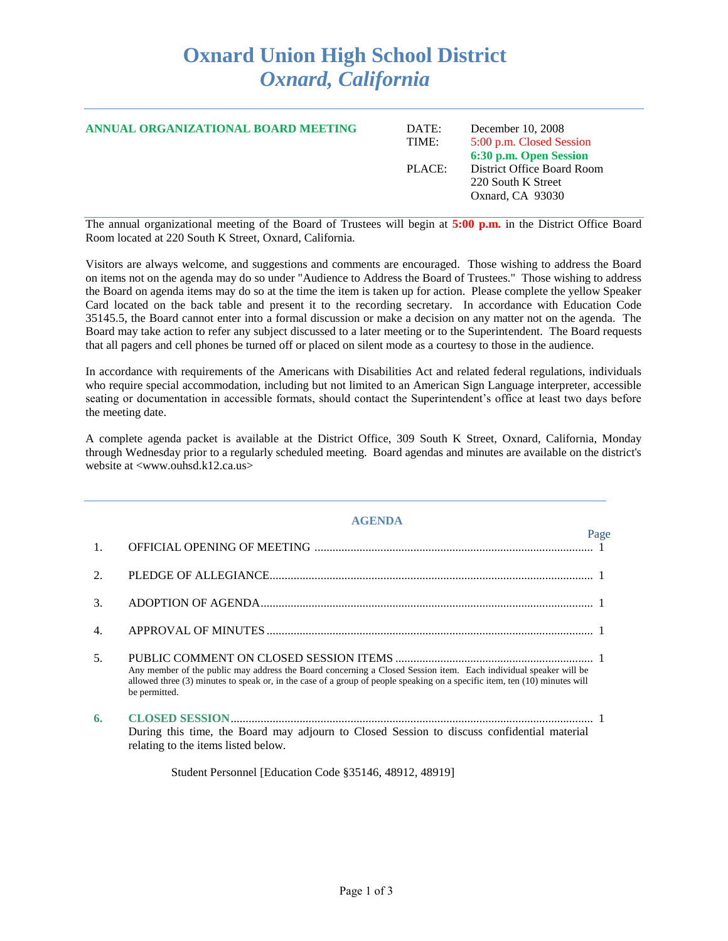## **Oxnard Union High School District** *Oxnard, California*

| ANNUAL ORGANIZATIONAL BOARD MEETING | DATE:<br>TIME: | December 10, 2008<br>5:00 p.m. Closed Session<br>6:30 p.m. Open Session |
|-------------------------------------|----------------|-------------------------------------------------------------------------|
|                                     | PLACE:         | District Office Board Room<br>220 South K Street<br>Oxnard, CA 93030    |

The annual organizational meeting of the Board of Trustees will begin at **5:00 p.m.** in the District Office Board Room located at 220 South K Street, Oxnard, California.

Visitors are always welcome, and suggestions and comments are encouraged. Those wishing to address the Board on items not on the agenda may do so under "Audience to Address the Board of Trustees." Those wishing to address the Board on agenda items may do so at the time the item is taken up for action. Please complete the yellow Speaker Card located on the back table and present it to the recording secretary. In accordance with Education Code 35145.5, the Board cannot enter into a formal discussion or make a decision on any matter not on the agenda. The Board may take action to refer any subject discussed to a later meeting or to the Superintendent. The Board requests that all pagers and cell phones be turned off or placed on silent mode as a courtesy to those in the audience.

In accordance with requirements of the Americans with Disabilities Act and related federal regulations, individuals who require special accommodation, including but not limited to an American Sign Language interpreter, accessible seating or documentation in accessible formats, should contact the Superintendent's office at least two days before the meeting date.

A complete agenda packet is available at the District Office, 309 South K Street, Oxnard, California, Monday through Wednesday prior to a regularly scheduled meeting. Board agendas and minutes are available on the district's website at <www.ouhsd.k12.ca.us>

|                 | <b>AGENDA</b>                                                                                                                                                                                                                                                   |
|-----------------|-----------------------------------------------------------------------------------------------------------------------------------------------------------------------------------------------------------------------------------------------------------------|
| 1.              | Page                                                                                                                                                                                                                                                            |
| 2.              |                                                                                                                                                                                                                                                                 |
| 3.              |                                                                                                                                                                                                                                                                 |
| 4.              |                                                                                                                                                                                                                                                                 |
| $\mathcal{F}$ . | Any member of the public may address the Board concerning a Closed Session item. Each individual speaker will be<br>allowed three (3) minutes to speak or, in the case of a group of people speaking on a specific item, ten (10) minutes will<br>be permitted. |
| 6.              | During this time, the Board may adjourn to Closed Session to discuss confidential material<br>relating to the items listed below.                                                                                                                               |
|                 | Student Personnel [Education Code §35146, 48912, 48919]                                                                                                                                                                                                         |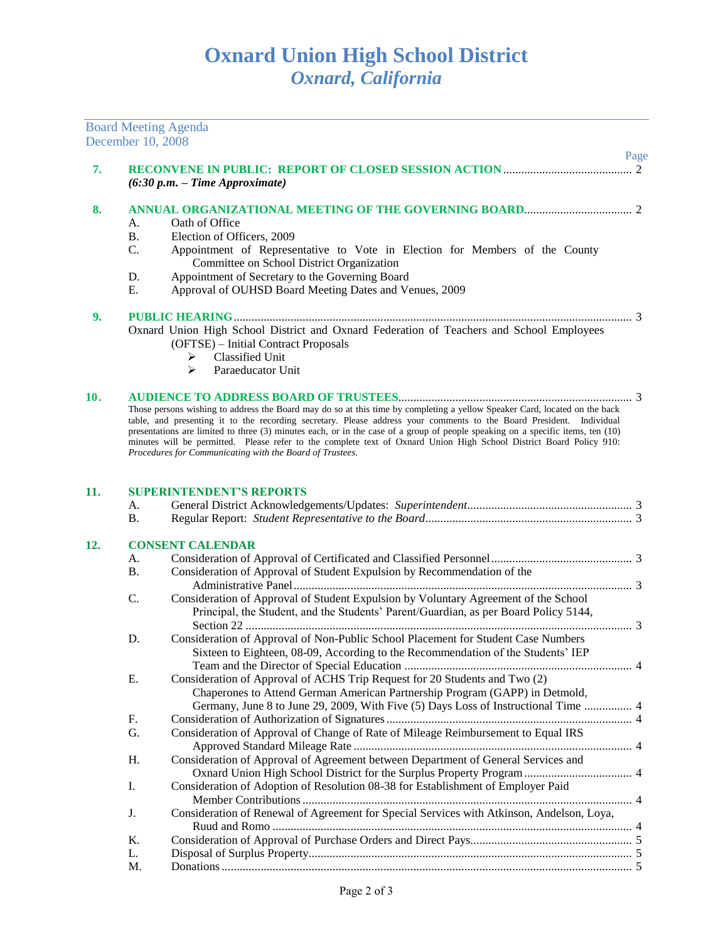## **Oxnard Union High School District** *Oxnard, California*

|     | December 10, 2008 | <b>Board Meeting Agenda</b>                                                                                                                                                                                                                                                                                                                                                                                                                                                                                                                                              |      |
|-----|-------------------|--------------------------------------------------------------------------------------------------------------------------------------------------------------------------------------------------------------------------------------------------------------------------------------------------------------------------------------------------------------------------------------------------------------------------------------------------------------------------------------------------------------------------------------------------------------------------|------|
|     |                   |                                                                                                                                                                                                                                                                                                                                                                                                                                                                                                                                                                          | Page |
| 7.  |                   | $(6:30 p.m. - Time Approximate)$                                                                                                                                                                                                                                                                                                                                                                                                                                                                                                                                         |      |
| 8.  |                   |                                                                                                                                                                                                                                                                                                                                                                                                                                                                                                                                                                          |      |
|     | A.                | Oath of Office                                                                                                                                                                                                                                                                                                                                                                                                                                                                                                                                                           |      |
|     | <b>B.</b>         | Election of Officers, 2009                                                                                                                                                                                                                                                                                                                                                                                                                                                                                                                                               |      |
|     | C.                | Appointment of Representative to Vote in Election for Members of the County<br>Committee on School District Organization                                                                                                                                                                                                                                                                                                                                                                                                                                                 |      |
|     | D.<br>Ε.          | Appointment of Secretary to the Governing Board<br>Approval of OUHSD Board Meeting Dates and Venues, 2009                                                                                                                                                                                                                                                                                                                                                                                                                                                                |      |
| 9.  |                   | Oxnard Union High School District and Oxnard Federation of Teachers and School Employees<br>(OFTSE) - Initial Contract Proposals<br>Classified Unit<br>➤<br>➤<br>Paraeducator Unit                                                                                                                                                                                                                                                                                                                                                                                       |      |
| 10. |                   | Those persons wishing to address the Board may do so at this time by completing a yellow Speaker Card, located on the back<br>table, and presenting it to the recording secretary. Please address your comments to the Board President. Individual<br>presentations are limited to three (3) minutes each, or in the case of a group of people speaking on a specific items, ten (10)<br>minutes will be permitted. Please refer to the complete text of Oxnard Union High School District Board Policy 910:<br>Procedures for Communicating with the Board of Trustees. |      |
| 11. |                   | <b>SUPERINTENDENT'S REPORTS</b>                                                                                                                                                                                                                                                                                                                                                                                                                                                                                                                                          |      |
|     | A.                |                                                                                                                                                                                                                                                                                                                                                                                                                                                                                                                                                                          |      |
|     | <b>B.</b>         |                                                                                                                                                                                                                                                                                                                                                                                                                                                                                                                                                                          |      |
| 12. |                   | <b>CONSENT CALENDAR</b>                                                                                                                                                                                                                                                                                                                                                                                                                                                                                                                                                  |      |
|     | A.                |                                                                                                                                                                                                                                                                                                                                                                                                                                                                                                                                                                          |      |
|     | <b>B.</b>         | Consideration of Approval of Student Expulsion by Recommendation of the                                                                                                                                                                                                                                                                                                                                                                                                                                                                                                  |      |
|     | C.                | Consideration of Approval of Student Expulsion by Voluntary Agreement of the School<br>Principal, the Student, and the Students' Parent/Guardian, as per Board Policy 5144,                                                                                                                                                                                                                                                                                                                                                                                              |      |
|     | D.                | Consideration of Approval of Non-Public School Placement for Student Case Numbers                                                                                                                                                                                                                                                                                                                                                                                                                                                                                        |      |
|     |                   | Sixteen to Eighteen, 08-09, According to the Recommendation of the Students' IEP                                                                                                                                                                                                                                                                                                                                                                                                                                                                                         |      |
|     |                   |                                                                                                                                                                                                                                                                                                                                                                                                                                                                                                                                                                          |      |
|     | E.                | Consideration of Approval of ACHS Trip Request for 20 Students and Two (2)<br>Chaperones to Attend German American Partnership Program (GAPP) in Detmold,<br>Germany, June 8 to June 29, 2009, With Five (5) Days Loss of Instructional Time  4                                                                                                                                                                                                                                                                                                                          |      |
|     | F.                |                                                                                                                                                                                                                                                                                                                                                                                                                                                                                                                                                                          |      |
|     | G.                | Consideration of Approval of Change of Rate of Mileage Reimbursement to Equal IRS                                                                                                                                                                                                                                                                                                                                                                                                                                                                                        |      |
|     | H.                | Consideration of Approval of Agreement between Department of General Services and                                                                                                                                                                                                                                                                                                                                                                                                                                                                                        |      |
|     | I.                | Consideration of Adoption of Resolution 08-38 for Establishment of Employer Paid                                                                                                                                                                                                                                                                                                                                                                                                                                                                                         |      |
|     | J.                | Consideration of Renewal of Agreement for Special Services with Atkinson, Andelson, Loya,                                                                                                                                                                                                                                                                                                                                                                                                                                                                                |      |
|     | K.                |                                                                                                                                                                                                                                                                                                                                                                                                                                                                                                                                                                          |      |
|     | L.                |                                                                                                                                                                                                                                                                                                                                                                                                                                                                                                                                                                          |      |
|     | M.                |                                                                                                                                                                                                                                                                                                                                                                                                                                                                                                                                                                          |      |